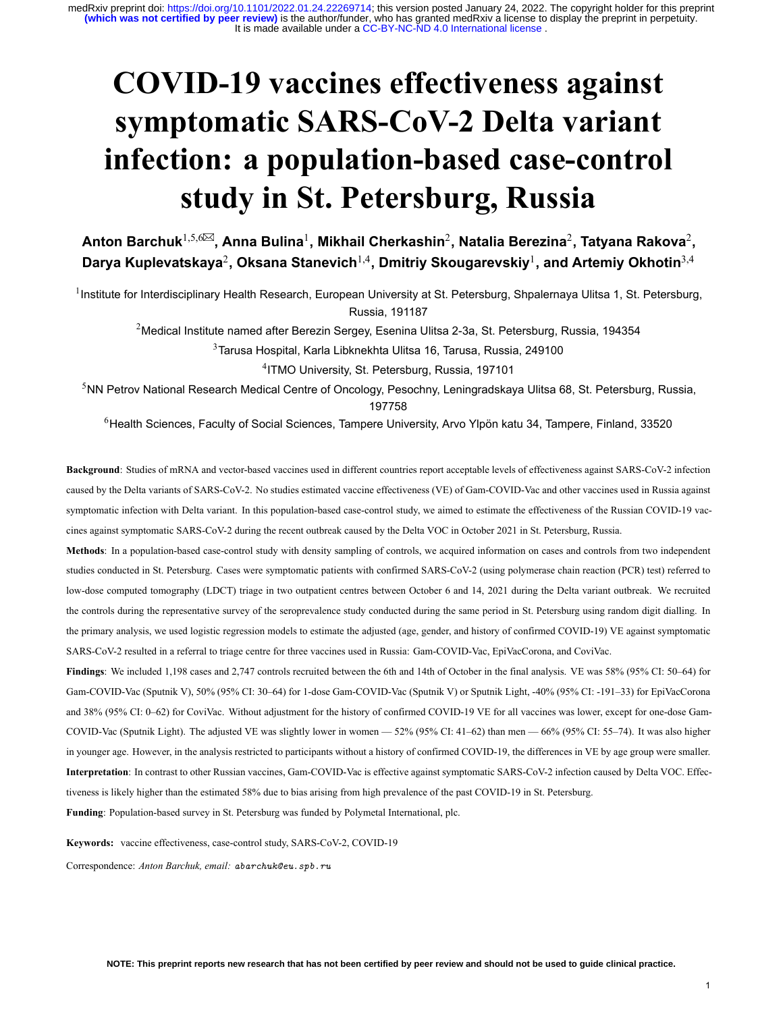# **COVID19 vaccines effectiveness against** symptomatic SARS-CoV-2 Delta variant infection: a population-based case-control **study in St. Petersburg, Russia**

 $\mathsf{Anton\, Barchuk}^{1,5,6⊠},$  Anna Bulina<sup>1</sup>, Mikhail Cherkashin<sup>2</sup>, Natalia Berezina<sup>2</sup>, Tatyana Rakova<sup>2</sup>, **Darya Kuplevatskaya**<sup>2</sup> **, Oksana Stanevich**1,4**, Dmitriy Skougarevskiy**<sup>1</sup> **, and Artemiy Okhotin**3,4

<sup>1</sup>Institute for Interdisciplinary Health Research, European University at St. Petersburg, Shpalernaya Ulitsa 1, St. Petersburg, Russia, 191187

<sup>2</sup>Medical Institute named after Berezin Sergey, Esenina Ulitsa 2-3a, St. Petersburg, Russia, 194354

<sup>3</sup>Tarusa Hospital, Karla Libknekhta Ulitsa 16, Tarusa, Russia, 249100

4 ITMO University, St. Petersburg, Russia, 197101

<sup>5</sup>NN Petrov National Research Medical Centre of Oncology, Pesochny, Leningradskaya Ulitsa 68, St. Petersburg, Russia, 197758

<sup>6</sup>Health Sciences, Faculty of Social Sciences, Tampere University, Arvo Ylpön katu 34, Tampere, Finland, 33520

Background: Studies of mRNA and vector-based vaccines used in different countries report acceptable levels of effectiveness against SARS-CoV-2 infection caused by the Delta variants of SARS-CoV-2. No studies estimated vaccine effectiveness (VE) of Gam-COVID-Vac and other vaccines used in Russia against symptomatic infection with Delta variant. In this population-based case-control study, we aimed to estimate the effectiveness of the Russian COVID-19 vaccines against symptomatic SARS-CoV-2 during the recent outbreak caused by the Delta VOC in October 2021 in St. Petersburg, Russia.

Methods: In a population-based case-control study with density sampling of controls, we acquired information on cases and controls from two independent studies conducted in St. Petersburg. Cases were symptomatic patients with confirmed SARS-CoV-2 (using polymerase chain reaction (PCR) test) referred to low-dose computed tomography (LDCT) triage in two outpatient centres between October 6 and 14, 2021 during the Delta variant outbreak. We recruited the controls during the representative survey of the seroprevalence study conducted during the same period in St. Petersburg using random digit dialling. In the primary analysis, we used logistic regression models to estimate the adjusted (age, gender, and history of confirmed COVID-19) VE against symptomatic SARS-CoV-2 resulted in a referral to triage centre for three vaccines used in Russia: Gam-COVID-Vac, EpiVacCorona, and CoviVac.

**Findings**: We included 1,198 cases and 2,747 controls recruited between the 6th and 14th of October in the final analysis. VE was 58% (95% CI: 50–64) for Gam-COVID-Vac (Sputnik V), 50% (95% CI: 30–64) for 1-dose Gam-COVID-Vac (Sputnik V) or Sputnik Light, -40% (95% CI: -191–33) for EpiVacCorona and 38% (95% CI: 0–62) for CoviVac. Without adjustment for the history of confirmed COVID-19 VE for all vaccines was lower, except for one-dose Gam-COVID-Vac (Sputnik Light). The adjusted VE was slightly lower in women  $-$  52% (95% CI: 41–62) than men  $-$  66% (95% CI: 55–74). It was also higher in younger age. However, in the analysis restricted to participants without a history of confirmed COVID-19, the differences in VE by age group were smaller. Interpretation: In contrast to other Russian vaccines, Gam-COVID-Vac is effective against symptomatic SARS-CoV-2 infection caused by Delta VOC. Effectiveness is likely higher than the estimated 58% due to bias arising from high prevalence of the past COVID-19 in St. Petersburg. Funding: Population-based survey in St. Petersburg was funded by Polymetal International, plc.

Keywords: vaccine effectiveness, case-control study, SARS-CoV-2, COVID-19

Correspondence: *Anton Barchuk, email: abarchuk@eu.spb.ru*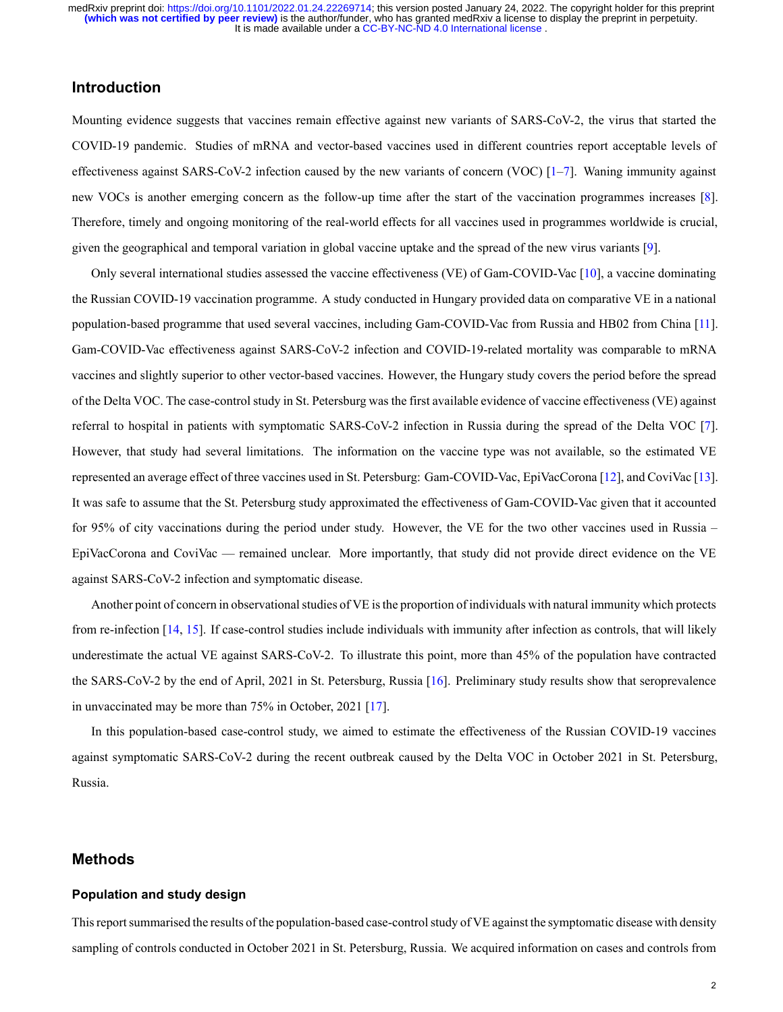# **Introduction**

Mounting evidence suggests that vaccines remain effective against new variants of SARS-CoV-2, the virus that started the COVID-19 pandemic. Studies of mRNA and vector-based vaccines used in different countries report acceptable levels of effectivenessagainst SARS-CoV-2 infection caused by the new variants of concern (VOC)  $[1–7]$  $[1–7]$  $[1–7]$ . Waning immunity against new VOCs is another emerging concern as the follow-up time after the start of the vaccination programmes increases [\[8](#page-9-2)]. Therefore, timely and ongoing monitoring of the real-world effects for all vaccines used in programmes worldwide is crucial, given the geographical and temporal variation in global vaccine uptake and the spread of the new virus variants [\[9](#page-9-3)].

Onlyseveral international studies assessed the vaccine effectiveness (VE) of Gam-COVID-Vac [[10\]](#page-9-4), a vaccine dominating the Russian COVID-19 vaccination programme. A study conducted in Hungary provided data on comparative VE in a national population-based programme that used several vaccines, including Gam-COVID-Vac from Russia and HB02 from China [\[11](#page-9-5)]. Gam-COVID-Vac effectiveness against SARS-CoV-2 infection and COVID-19-related mortality was comparable to mRNA vaccines and slightly superior to other vector-based vaccines. However, the Hungary study covers the period before the spread of the Delta VOC. The case-control study in St. Petersburg was the first available evidence of vaccine effectiveness (VE) against referral to hospital in patients with symptomatic SARS-CoV-2 infection in Russia during the spread of the Delta VOC [\[7](#page-9-1)]. However, that study had several limitations. The information on the vaccine type was not available, so the estimated VE represented an average effect of three vaccines used in St. Petersburg: Gam-COVID-Vac, EpiVacCorona [\[12](#page-9-6)], and CoviVac [\[13](#page-9-7)]. It was safe to assume that the St. Petersburg study approximated the effectiveness of Gam-COVID-Vac given that it accounted for 95% of city vaccinations during the period under study. However, the VE for the two other vaccines used in Russia – EpiVacCorona and CoviVac — remained unclear. More importantly, that study did not provide direct evidence on the VE against SARS-CoV-2 infection and symptomatic disease.

Another point of concern in observational studies of VE is the proportion of individuals with natural immunity which protects fromre-infection  $[14, 15]$  $[14, 15]$  $[14, 15]$  $[14, 15]$ . If case-control studies include individuals with immunity after infection as controls, that will likely underestimate the actual VE against SARS-CoV-2. To illustrate this point, more than  $45\%$  of the population have contracted theSARS-CoV-2 by the end of April, 2021 in St. Petersburg, Russia [[16\]](#page-9-10). Preliminary study results show that seroprevalence in unvaccinated may be more than 75% in October, 2021 [\[17](#page-9-11)].

In this population-based case-control study, we aimed to estimate the effectiveness of the Russian COVID-19 vaccines against symptomatic SARS-CoV-2 during the recent outbreak caused by the Delta VOC in October 2021 in St. Petersburg, Russia.

# **Methods**

#### **Population and study design**

This report summarised the results of the population-based case-control study of VE against the symptomatic disease with density sampling of controls conducted in October 2021 in St. Petersburg, Russia. We acquired information on cases and controls from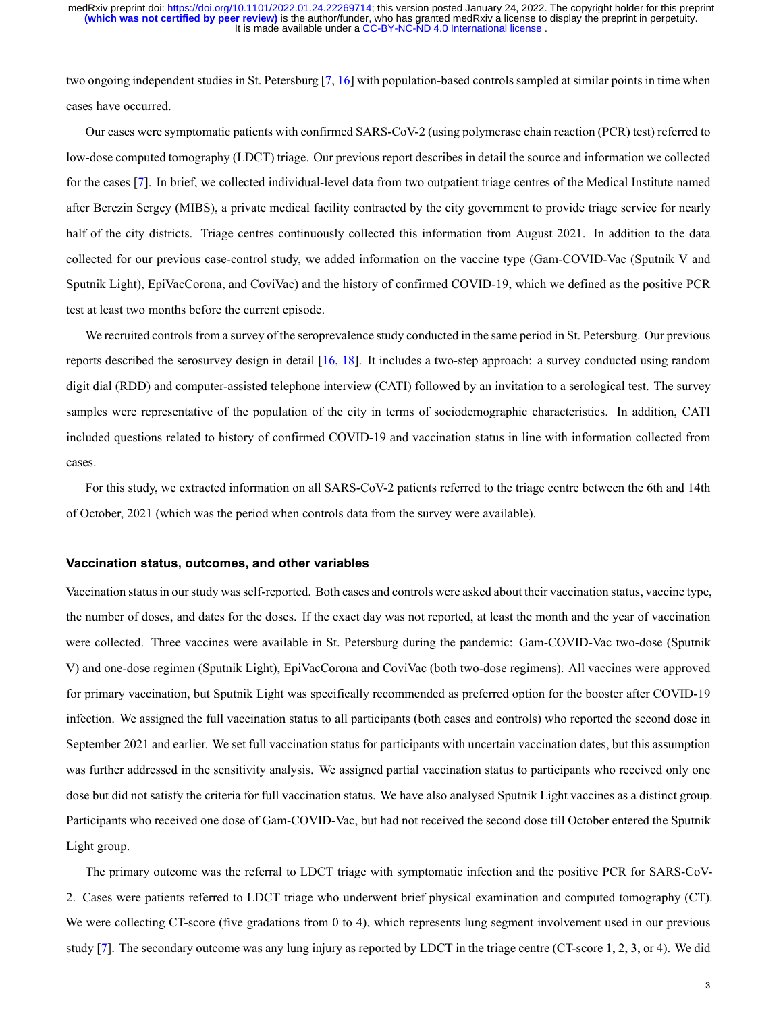two ongoing independent studies in St. Petersburg  $[7, 16]$  $[7, 16]$  with population-based controls sampled at similar points in time when cases have occurred.

Our cases were symptomatic patients with confirmed SARS-CoV-2 (using polymerase chain reaction (PCR) test) referred to low-dose computed tomography (LDCT) triage. Our previous report describes in detail the source and information we collected forthe cases [[7\]](#page-9-1). In brief, we collected individual-level data from two outpatient triage centres of the Medical Institute named after Berezin Sergey (MIBS), a private medical facility contracted by the city government to provide triage service for nearly half of the city districts. Triage centres continuously collected this information from August 2021. In addition to the data collected for our previous case-control study, we added information on the vaccine type (Gam-COVID-Vac (Sputnik V and Sputnik Light), EpiVacCorona, and CoviVac) and the history of confirmed COVID19, which we defined as the positive PCR test at least two months before the current episode.

We recruited controls from a survey of the seroprevalence study conducted in the same period in St. Petersburg. Our previous reports described the serosurvey design in detail  $[16, 18]$  $[16, 18]$  $[16, 18]$ . It includes a two-step approach: a survey conducted using random digit dial (RDD) and computer-assisted telephone interview (CATI) followed by an invitation to a serological test. The survey samples were representative of the population of the city in terms of sociodemographic characteristics. In addition, CATI included questions related to history of confirmed COVID-19 and vaccination status in line with information collected from cases.

For this study, we extracted information on all SARS-CoV-2 patients referred to the triage centre between the 6th and 14th of October, 2021 (which was the period when controls data from the survey were available).

#### **Vaccination status, outcomes, and other variables**

Vaccination status in our study was selfreported. Both cases and controls were asked about their vaccination status, vaccine type, the number of doses, and dates for the doses. If the exact day was not reported, at least the month and the year of vaccination were collected. Three vaccines were available in St. Petersburg during the pandemic: Gam-COVID-Vac two-dose (Sputnik V) and one-dose regimen (Sputnik Light), EpiVacCorona and CoviVac (both two-dose regimens). All vaccines were approved for primary vaccination, but Sputnik Light was specifically recommended as preferred option for the booster after COVID-19 infection. We assigned the full vaccination status to all participants (both cases and controls) who reported the second dose in September 2021 and earlier. We set full vaccination status for participants with uncertain vaccination dates, but this assumption was further addressed in the sensitivity analysis. We assigned partial vaccination status to participants who received only one dose but did not satisfy the criteria for full vaccination status. We have also analysed Sputnik Light vaccines as a distinct group. Participants who received one dose of Gam-COVID-Vac, but had not received the second dose till October entered the Sputnik Light group.

The primary outcome was the referral to LDCT triage with symptomatic infection and the positive PCR for SARS-CoV-2. Cases were patients referred to LDCT triage who underwent brief physical examination and computed tomography (CT). We were collecting CT-score (five gradations from 0 to 4), which represents lung segment involvement used in our previous study[[7\]](#page-9-1). The secondary outcome was any lung injury as reported by LDCT in the triage centre (CT-score 1, 2, 3, or 4). We did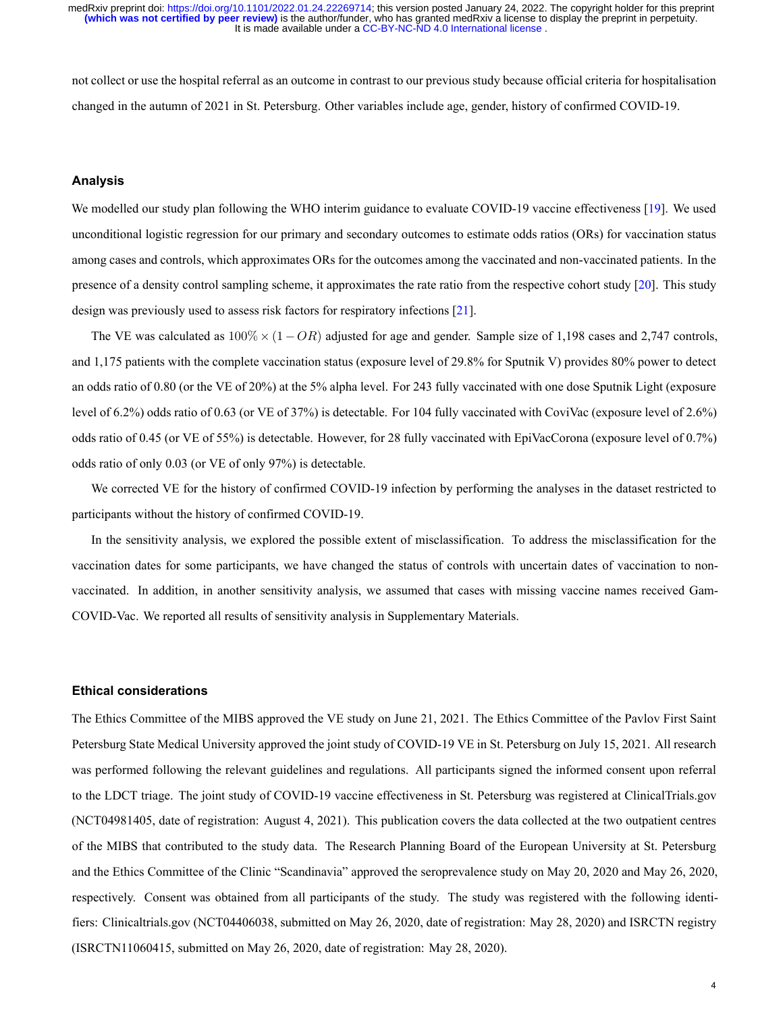It is made available under a [CC-BY-NC-ND 4.0 International license](http://creativecommons.org/licenses/by-nc-nd/4.0/) . **(which was not certified by peer review)** is the author/funder, who has granted medRxiv a license to display the preprint in perpetuity. medRxiv preprint doi: [https://doi.org/10.1101/2022.01.24.22269714;](https://doi.org/10.1101/2022.01.24.22269714) this version posted January 24, 2022. The copyright holder for this preprint

not collect or use the hospital referral as an outcome in contrast to our previous study because official criteria for hospitalisation changed in the autumn of 2021 in St. Petersburg. Other variables include age, gender, history of confirmed COVID19.

#### **Analysis**

We modelled our study plan following the WHO interim guidance to evaluate COVID-19 vaccine effectiveness [\[19\]](#page-9-13). We used unconditional logistic regression for our primary and secondary outcomes to estimate odds ratios (ORs) for vaccination status among cases and controls, which approximates ORs for the outcomes among the vaccinated and nonvaccinated patients. In the presence of a density control sampling scheme, it approximates the rate ratio from the respective cohort study [\[20](#page-9-14)]. This study design was previously used to assess risk factors for respiratory infections [\[21](#page-9-15)].

The VE was calculated as 100% *×* (1 *− OR*) adjusted for age and gender. Sample size of 1,198 cases and 2,747 controls, and 1,175 patients with the complete vaccination status (exposure level of 29.8% for Sputnik V) provides 80% power to detect an odds ratio of 0.80 (or the VE of 20%) at the 5% alpha level. For 243 fully vaccinated with one dose Sputnik Light (exposure level of 6.2%) odds ratio of 0.63 (or VE of 37%) is detectable. For 104 fully vaccinated with CoviVac (exposure level of 2.6%) odds ratio of 0.45 (or VE of 55%) is detectable. However, for 28 fully vaccinated with EpiVacCorona (exposure level of 0.7%) odds ratio of only 0.03 (or VE of only 97%) is detectable.

We corrected VE for the history of confirmed COVID-19 infection by performing the analyses in the dataset restricted to participants without the history of confirmed COVID-19.

In the sensitivity analysis, we explored the possible extent of misclassification. To address the misclassification for the vaccination dates for some participants, we have changed the status of controls with uncertain dates of vaccination to nonvaccinated. In addition, in another sensitivity analysis, we assumed that cases with missing vaccine names received Gam-COVID-Vac. We reported all results of sensitivity analysis in Supplementary Materials.

#### **Ethical considerations**

The Ethics Committee of the MIBS approved the VE study on June 21, 2021. The Ethics Committee of the Pavlov First Saint Petersburg State Medical University approved the joint study of COVID-19 VE in St. Petersburg on July 15, 2021. All research was performed following the relevant guidelines and regulations. All participants signed the informed consent upon referral to the LDCT triage. The joint study of COVID-19 vaccine effectiveness in St. Petersburg was registered at ClinicalTrials.gov (NCT04981405, date of registration: August 4, 2021). This publication covers the data collected at the two outpatient centres of the MIBS that contributed to the study data. The Research Planning Board of the European University at St. Petersburg and the Ethics Committee of the Clinic "Scandinavia" approved the seroprevalence study on May 20, 2020 and May 26, 2020, respectively. Consent was obtained from all participants of the study. The study was registered with the following identifiers: Clinicaltrials.gov (NCT04406038, submitted on May 26, 2020, date of registration: May 28, 2020) and ISRCTN registry (ISRCTN11060415, submitted on May 26, 2020, date of registration: May 28, 2020).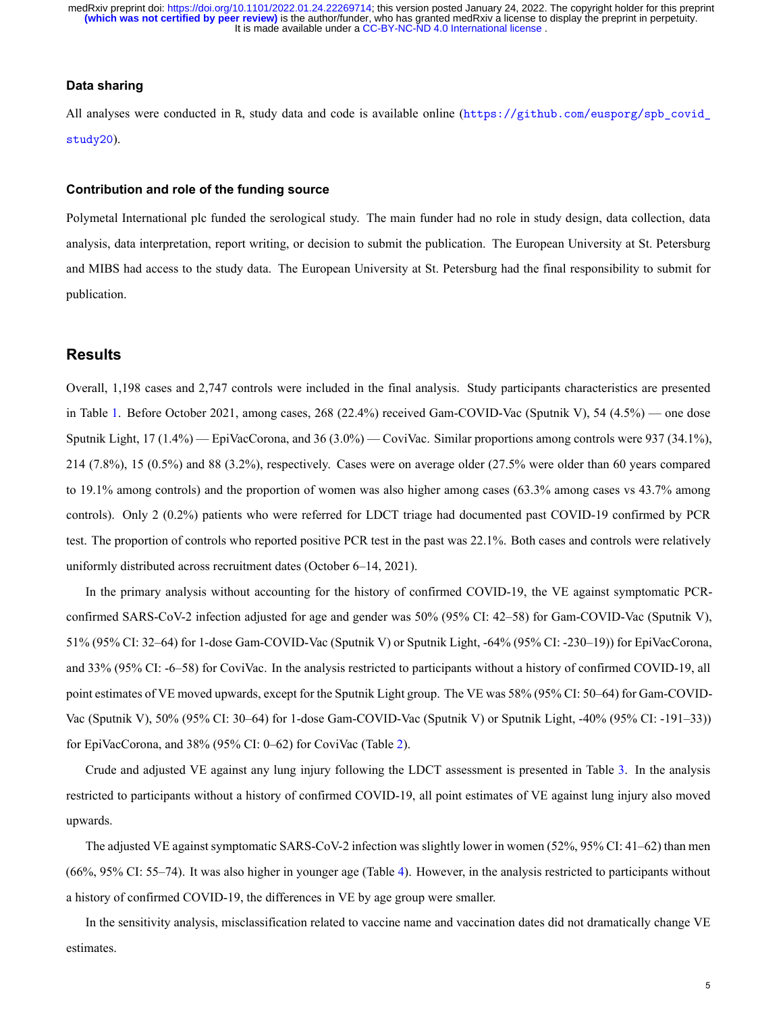## **Data sharing**

All analyses were conducted in R, study data and code is available online ([https://github.com/eusporg/spb\\_covid\\_](https://github.com/eusporg/spb_covid_study20) [study20](https://github.com/eusporg/spb_covid_study20)).

#### **Contribution and role of the funding source**

Polymetal International plc funded the serological study. The main funder had no role in study design, data collection, data analysis, data interpretation, report writing, or decision to submit the publication. The European University at St. Petersburg and MIBS had access to the study data. The European University at St. Petersburg had the final responsibility to submit for publication.

## **Results**

Overall, 1,198 cases and 2,747 controls were included in the final analysis. Study participants characteristics are presented in Table [1](#page-5-0). Before October 2021, among cases, 268 (22.4%) received Gam-COVID-Vac (Sputnik V), 54 (4.5%) — one dose Sputnik Light, 17 (1.4%) — EpiVacCorona, and 36 (3.0%) — CoviVac. Similar proportions among controls were 937 (34.1%), 214 (7.8%), 15 (0.5%) and 88 (3.2%), respectively. Cases were on average older (27.5% were older than 60 years compared to 19.1% among controls) and the proportion of women was also higher among cases (63.3% among cases vs 43.7% among controls). Only 2 (0.2%) patients who were referred for LDCT triage had documented past COVID-19 confirmed by PCR test. The proportion of controls who reported positive PCR test in the past was 22.1%. Both cases and controls were relatively uniformly distributed across recruitment dates (October 6–14, 2021).

In the primary analysis without accounting for the history of confirmed COVID-19, the VE against symptomatic PCRconfirmed SARS-CoV-2 infection adjusted for age and gender was 50% (95% CI: 42–58) for Gam-COVID-Vac (Sputnik V), 51% (95% CI: 32–64) for 1-dose Gam-COVID-Vac (Sputnik V) or Sputnik Light, -64% (95% CI: -230–19)) for EpiVacCorona, and 33% (95% CI: -6–58) for CoviVac. In the analysis restricted to participants without a history of confirmed COVID-19, all point estimates of VE moved upwards, except for the Sputnik Light group. The VE was 58% (95% CI: 50-64) for Gam-COVID-Vac (Sputnik V), 50% (95% CI: 30–64) for 1-dose Gam-COVID-Vac (Sputnik V) or Sputnik Light, -40% (95% CI: -191–33)) for EpiVacCorona, and 38% (95% CI: 0–62) for CoviVac (Table [2](#page-5-1)).

Crude and adjusted VE against any lung injury following the LDCT assessment is presented in Table [3.](#page-6-0) In the analysis restricted to participants without a history of confirmed COVID-19, all point estimates of VE against lung injury also moved upwards.

The adjusted VE against symptomatic SARS-CoV-2 infection was slightly lower in women (52%, 95% CI: 41–62) than men (66%, 95% CI: 55–74). It was also higher in younger age (Table [4](#page-6-1)). However, in the analysis restricted to participants without a history of confirmed COVID-19, the differences in VE by age group were smaller.

In the sensitivity analysis, misclassification related to vaccine name and vaccination dates did not dramatically change VE estimates.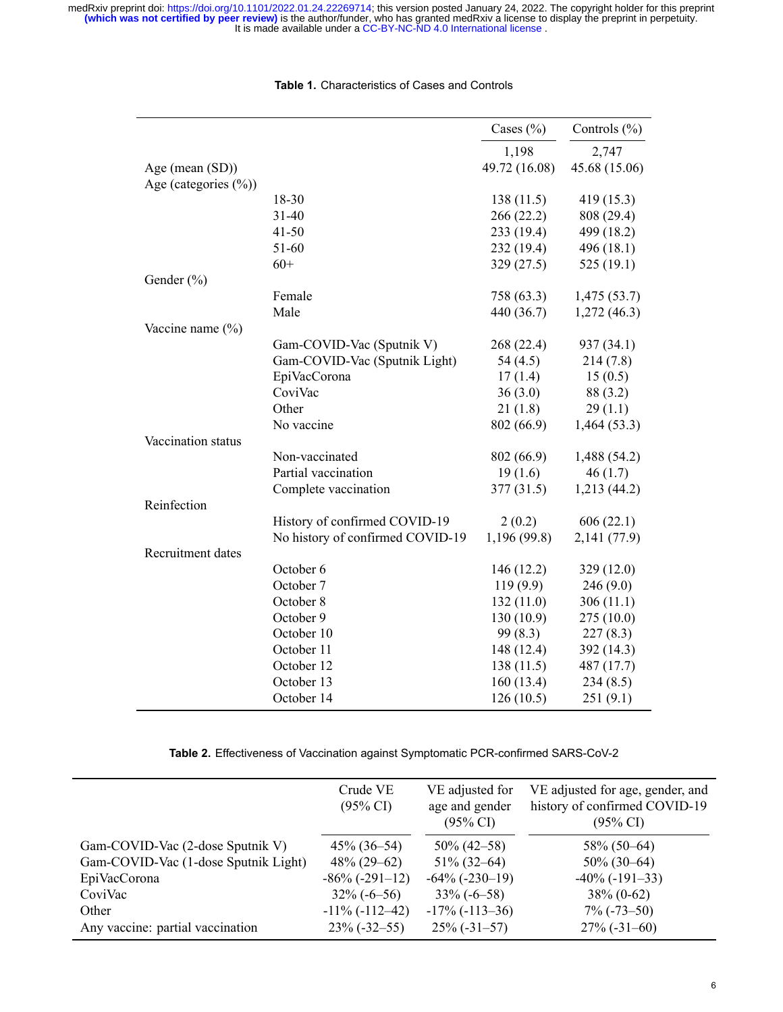<span id="page-5-0"></span>

|                          |                                  | Cases $(\% )$ | Controls $(\% )$ |
|--------------------------|----------------------------------|---------------|------------------|
|                          |                                  | 1,198         | 2,747            |
| Age (mean (SD))          |                                  | 49.72 (16.08) | 45.68 (15.06)    |
| Age (categories $(\%)$ ) |                                  |               |                  |
|                          | 18-30                            | 138(11.5)     | 419 (15.3)       |
|                          | $31 - 40$                        | 266(22.2)     | 808 (29.4)       |
|                          | $41 - 50$                        | 233 (19.4)    | 499 (18.2)       |
|                          | 51-60                            | 232 (19.4)    | 496 (18.1)       |
|                          | $60+$                            | 329 (27.5)    | 525(19.1)        |
| Gender (%)               |                                  |               |                  |
|                          | Female                           | 758 (63.3)    | 1,475(53.7)      |
|                          | Male                             | 440 (36.7)    | 1,272(46.3)      |
| Vaccine name (%)         |                                  |               |                  |
|                          | Gam-COVID-Vac (Sputnik V)        | 268 (22.4)    | 937 (34.1)       |
|                          | Gam-COVID-Vac (Sputnik Light)    | 54 $(4.5)$    | 214(7.8)         |
|                          | EpiVacCorona                     | 17(1.4)       | 15(0.5)          |
|                          | CoviVac                          | 36(3.0)       | 88 (3.2)         |
|                          | Other                            | 21(1.8)       | 29(1.1)          |
|                          | No vaccine                       | 802 (66.9)    | 1,464(53.3)      |
| Vaccination status       |                                  |               |                  |
|                          | Non-vaccinated                   | 802 (66.9)    | 1,488 (54.2)     |
|                          | Partial vaccination              | 19(1.6)       | 46(1.7)          |
|                          | Complete vaccination             | 377(31.5)     | 1,213 (44.2)     |
| Reinfection              |                                  |               |                  |
|                          | History of confirmed COVID-19    | 2(0.2)        | 606(22.1)        |
|                          | No history of confirmed COVID-19 | 1,196 (99.8)  | 2,141 (77.9)     |
| Recruitment dates        |                                  |               |                  |
|                          | October 6                        | 146 (12.2)    | 329 (12.0)       |
|                          | October 7                        | 119(9.9)      | 246(9.0)         |
|                          | October 8                        | 132(11.0)     | 306(11.1)        |
|                          | October 9                        | 130(10.9)     | 275(10.0)        |
|                          | October 10                       | 99 (8.3)      | 227(8.3)         |
|                          | October 11                       | 148 (12.4)    | 392 (14.3)       |
|                          | October 12                       | 138(11.5)     | 487 (17.7)       |
|                          | October 13                       | 160(13.4)     | 234(8.5)         |
|                          | October 14                       | 126(10.5)     | 251(9.1)         |

#### **Table 1.** Characteristics of Cases and Controls

Table 2. Effectiveness of Vaccination against Symptomatic PCR-confirmed SARS-CoV-2

<span id="page-5-1"></span>

|                                      | Crude VE<br>$(95\% \text{ CI})$ | VE adjusted for<br>age and gender<br>$(95\% \text{ CI})$ | VE adjusted for age, gender, and<br>history of confirmed COVID-19<br>$(95\% \text{ CI})$ |
|--------------------------------------|---------------------------------|----------------------------------------------------------|------------------------------------------------------------------------------------------|
| Gam-COVID-Vac (2-dose Sputnik V)     | $45\% (36 - 54)$                | $50\% (42 - 58)$                                         | $58\%$ (50–64)                                                                           |
| Gam-COVID-Vac (1-dose Sputnik Light) | $48\% (29 - 62)$                | $51\%$ (32–64)                                           | $50\%$ (30–64)                                                                           |
| EpiVacCorona                         | $-86\%$ ( $-291-12$ )           | $-64\%$ $(-230-19)$                                      | $-40\%$ ( $-191-33$ )                                                                    |
| CoviVac                              | $32\%(-6-56)$                   | $33\%(-6-58)$                                            | $38\% (0-62)$                                                                            |
| Other                                | $-11\%$ ( $-112-42$ )           | $-17\%$ ( $-113-36$ )                                    | $7\%$ (-73–50)                                                                           |
| Any vaccine: partial vaccination     | $23\%(-32-55)$                  | $25\%(-31-57)$                                           | $27\%$ (-31-60)                                                                          |
|                                      |                                 |                                                          |                                                                                          |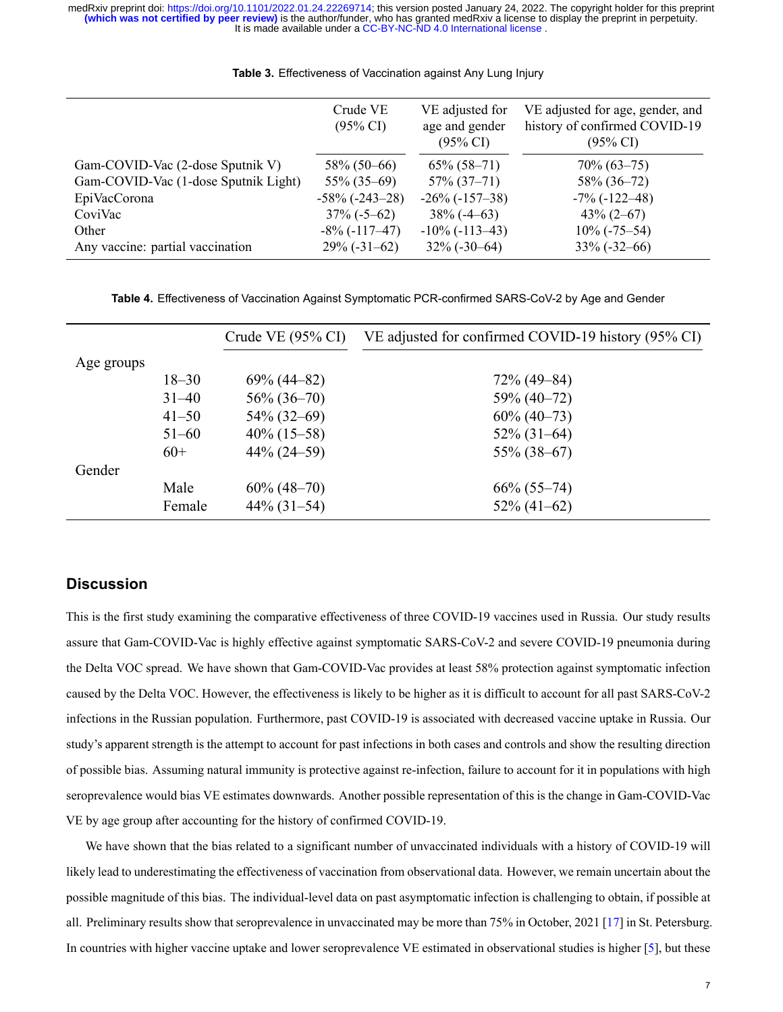<span id="page-6-0"></span>

|                                      | Crude VE<br>$(95\% \text{ CI})$ | VE adjusted for<br>age and gender<br>$(95\% \text{ CI})$ | VE adjusted for age, gender, and<br>history of confirmed COVID-19<br>$(95\% \text{ CI})$ |
|--------------------------------------|---------------------------------|----------------------------------------------------------|------------------------------------------------------------------------------------------|
| Gam-COVID-Vac (2-dose Sputnik V)     | $58\%$ (50–66)                  | $65\% (58-71)$                                           | $70\% (63 - 75)$                                                                         |
| Gam-COVID-Vac (1-dose Sputnik Light) | $55\% (35-69)$                  | $57\%$ $(37-71)$                                         | $58\%$ (36-72)                                                                           |
| EpiVacCorona                         | $-58\%$ $(-243-28)$             | $-26\%$ ( $-157-38$ )                                    | $-7\%$ ( $-122-48$ )                                                                     |
| CoviVac                              | $37\% (-5 - 62)$                | $38\%$ (-4–63)                                           | $43\% (2 - 67)$                                                                          |
| Other                                | $-8\%$ ( $-117-47$ )            | $-10\%$ ( $-113-43$ )                                    | $10\%$ (-75–54)                                                                          |
| Any vaccine: partial vaccination     | $29\% (-31-62)$                 | $32\%(-30-64)$                                           | $33\%(-32-66)$                                                                           |

**Table 3.** Effectiveness of Vaccination against Any Lung Injury

Table 4. Effectiveness of Vaccination Against Symptomatic PCR-confirmed SARS-CoV-2 by Age and Gender

<span id="page-6-1"></span>

|            |           | Crude VE $(95\% \text{ CI})$ | VE adjusted for confirmed COVID-19 history (95% CI) |
|------------|-----------|------------------------------|-----------------------------------------------------|
| Age groups |           |                              |                                                     |
|            | $18 - 30$ | $69\% (44 - 82)$             | $72\%$ (49-84)                                      |
|            | $31 - 40$ | $56\% (36 - 70)$             | $59\% (40-72)$                                      |
|            | $41 - 50$ | $54\%$ (32–69)               | $60\% (40-73)$                                      |
|            | $51 - 60$ | $40\%$ (15–58)               | $52\%$ (31-64)                                      |
|            | $60+$     | $44\% (24 - 59)$             | $55\%$ (38–67)                                      |
| Gender     |           |                              |                                                     |
|            | Male      | $60\% (48-70)$               | $66\%$ (55-74)                                      |
|            | Female    | $44\%$ (31-54)               | $52\% (41-62)$                                      |

## **Discussion**

This is the first study examining the comparative effectiveness of three COVID-19 vaccines used in Russia. Our study results assure that Gam-COVID-Vac is highly effective against symptomatic SARS-CoV-2 and severe COVID-19 pneumonia during the Delta VOC spread. We have shown that Gam-COVID-Vac provides at least 58% protection against symptomatic infection caused by the Delta VOC. However, the effectiveness is likely to be higher as it is difficult to account for all past SARS-CoV-2 infections in the Russian population. Furthermore, past COVID-19 is associated with decreased vaccine uptake in Russia. Our study's apparent strength is the attempt to account for past infections in both cases and controls and show the resulting direction of possible bias. Assuming natural immunity is protective against reinfection, failure to account for it in populations with high seroprevalence would bias VE estimates downwards. Another possible representation of this is the change in Gam-COVID-Vac VE by age group after accounting for the history of confirmed COVID19.

We have shown that the bias related to a significant number of unvaccinated individuals with a history of COVID-19 will likely lead to underestimating the effectiveness of vaccination from observational data. However, we remain uncertain about the possible magnitude of this bias. The individuallevel data on past asymptomatic infection is challenging to obtain, if possible at all. Preliminary results show that seroprevalence in unvaccinated may be more than 75% in October, 2021[[17\]](#page-9-11) in St. Petersburg. In countries with higher vaccine uptake and lower seroprevalence VE estimated in observational studies is higher [\[5\]](#page-9-16), but these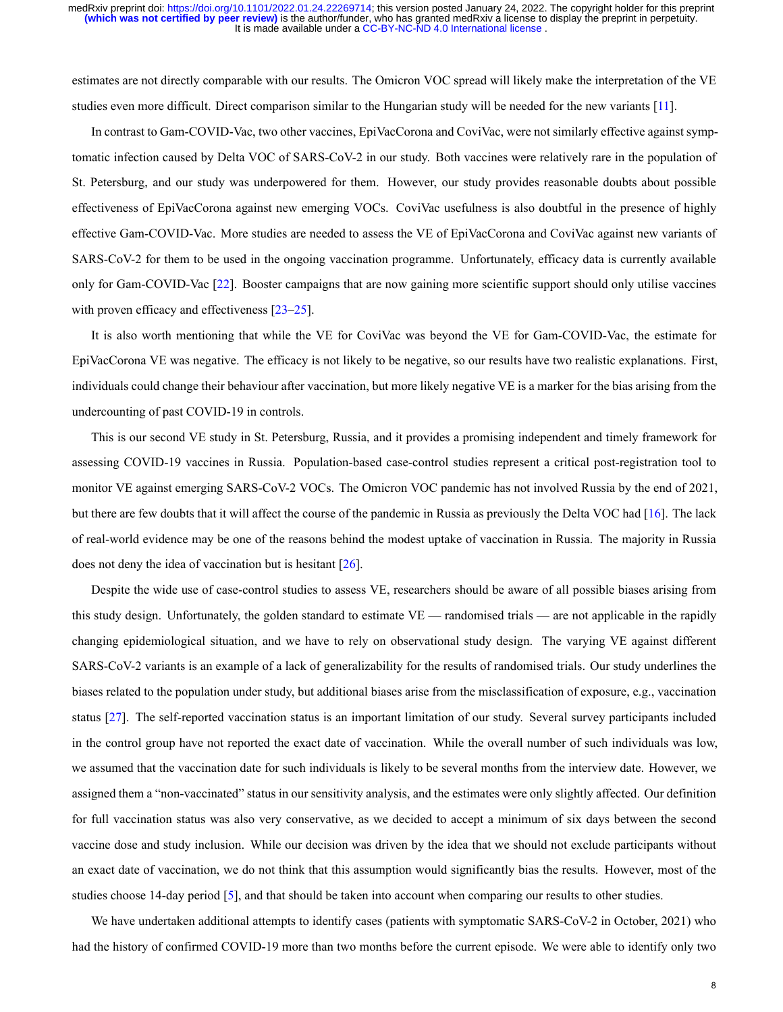It is made available under a [CC-BY-NC-ND 4.0 International license](http://creativecommons.org/licenses/by-nc-nd/4.0/) . **(which was not certified by peer review)** is the author/funder, who has granted medRxiv a license to display the preprint in perpetuity. medRxiv preprint doi: [https://doi.org/10.1101/2022.01.24.22269714;](https://doi.org/10.1101/2022.01.24.22269714) this version posted January 24, 2022. The copyright holder for this preprint

estimates are not directly comparable with our results. The Omicron VOC spread will likely make the interpretation of the VE studies even more difficult. Direct comparison similar to the Hungarian study will be needed for the new variants [\[11\]](#page-9-5).

In contrast to Gam-COVID-Vac, two other vaccines, EpiVacCorona and CoviVac, were not similarly effective against symptomatic infection caused by Delta VOC of SARS-CoV-2 in our study. Both vaccines were relatively rare in the population of St. Petersburg, and our study was underpowered for them. However, our study provides reasonable doubts about possible effectiveness of EpiVacCorona against new emerging VOCs. CoviVac usefulness is also doubtful in the presence of highly effective Gam-COVID-Vac. More studies are needed to assess the VE of EpiVacCorona and CoviVac against new variants of SARSCoV2 for them to be used in the ongoing vaccination programme. Unfortunately, efficacy data is currently available onlyfor Gam-COVID-Vac [[22\]](#page-9-17). Booster campaigns that are now gaining more scientific support should only utilise vaccines with proven efficacy and effectiveness [\[23](#page-9-18)[–25](#page-10-0)].

It is also worth mentioning that while the VE for CoviVac was beyond the VE for Gam-COVID-Vac, the estimate for EpiVacCorona VE was negative. The efficacy is not likely to be negative, so our results have two realistic explanations. First, individuals could change their behaviour after vaccination, but more likely negative VE is a marker for the bias arising from the undercounting of past COVID-19 in controls.

This is our second VE study in St. Petersburg, Russia, and it provides a promising independent and timely framework for assessing COVID-19 vaccines in Russia. Population-based case-control studies represent a critical post-registration tool to monitor VE against emerging SARS-CoV-2 VOCs. The Omicron VOC pandemic has not involved Russia by the end of 2021, but there are few doubts that it will affect the course of the pandemic in Russia as previously the Delta VOC had [\[16\]](#page-9-10). The lack of realworld evidence may be one of the reasons behind the modest uptake of vaccination in Russia. The majority in Russia does not deny the idea of vaccination but is hesitant [\[26](#page-10-1)].

Despite the wide use of case-control studies to assess VE, researchers should be aware of all possible biases arising from this study design. Unfortunately, the golden standard to estimate VE — randomised trials — are not applicable in the rapidly changing epidemiological situation, and we have to rely on observational study design. The varying VE against different SARSCoV2 variants is an example of a lack of generalizability for the results of randomised trials. Our study underlines the biases related to the population under study, but additional biases arise from the misclassification of exposure, e.g., vaccination status  $[27]$ . The self-reported vaccination status is an important limitation of our study. Several survey participants included in the control group have not reported the exact date of vaccination. While the overall number of such individuals was low, we assumed that the vaccination date for such individuals is likely to be several months from the interview date. However, we assigned them a "non-vaccinated" status in our sensitivity analysis, and the estimates were only slightly affected. Our definition for full vaccination status was also very conservative, as we decided to accept a minimum of six days between the second vaccine dose and study inclusion. While our decision was driven by the idea that we should not exclude participants without an exact date of vaccination, we do not think that this assumption would significantly bias the results. However, most of the studies choose 14-day period [\[5](#page-9-16)], and that should be taken into account when comparing our results to other studies.

We have undertaken additional attempts to identify cases (patients with symptomatic SARS-CoV-2 in October, 2021) who had the history of confirmed COVID-19 more than two months before the current episode. We were able to identify only two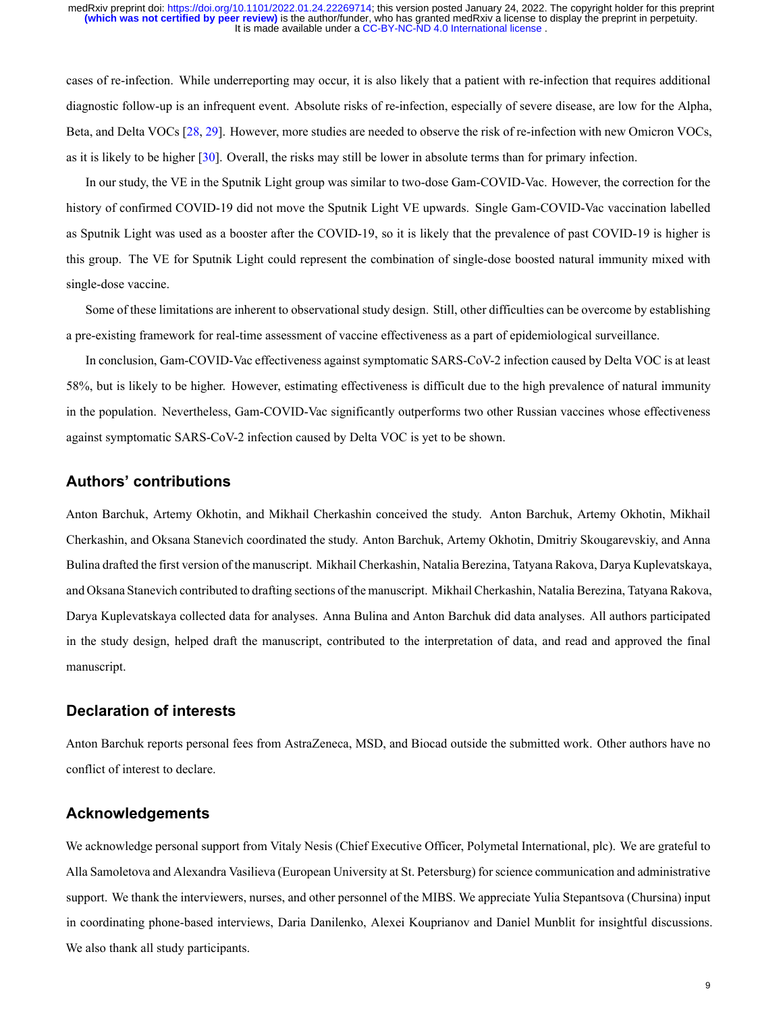cases of re-infection. While underreporting may occur, it is also likely that a patient with re-infection that requires additional diagnostic follow-up is an infrequent event. Absolute risks of re-infection, especially of severe disease, are low for the Alpha, Beta, and Delta VOCs [\[28,](#page-10-3) [29\]](#page-10-4). However, more studies are needed to observe the risk of re-infection with new Omicron VOCs, as it is likely to be higher [\[30](#page-10-5)]. Overall, the risks may still be lower in absolute terms than for primary infection.

In our study, the VE in the Sputnik Light group was similar to two-dose Gam-COVID-Vac. However, the correction for the history of confirmed COVID-19 did not move the Sputnik Light VE upwards. Single Gam-COVID-Vac vaccination labelled as Sputnik Light was used as a booster after the COVID-19, so it is likely that the prevalence of past COVID-19 is higher is this group. The VE for Sputnik Light could represent the combination of single-dose boosted natural immunity mixed with single-dose vaccine.

Some of these limitations are inherent to observational study design. Still, other difficulties can be overcome by establishing a pre-existing framework for real-time assessment of vaccine effectiveness as a part of epidemiological surveillance.

In conclusion, Gam-COVID-Vac effectiveness against symptomatic SARS-CoV-2 infection caused by Delta VOC is at least 58%, but is likely to be higher. However, estimating effectiveness is difficult due to the high prevalence of natural immunity in the population. Nevertheless, Gam-COVID-Vac significantly outperforms two other Russian vaccines whose effectiveness against symptomatic SARS-CoV-2 infection caused by Delta VOC is yet to be shown.

## **Authors' contributions**

Anton Barchuk, Artemy Okhotin, and Mikhail Cherkashin conceived the study. Anton Barchuk, Artemy Okhotin, Mikhail Cherkashin, and Oksana Stanevich coordinated the study. Anton Barchuk, Artemy Okhotin, Dmitriy Skougarevskiy, and Anna Bulina drafted the first version of the manuscript. Mikhail Cherkashin, Natalia Berezina, Tatyana Rakova, Darya Kuplevatskaya, and Oksana Stanevich contributed to drafting sections of the manuscript. Mikhail Cherkashin, Natalia Berezina, Tatyana Rakova, Darya Kuplevatskaya collected data for analyses. Anna Bulina and Anton Barchuk did data analyses. All authors participated in the study design, helped draft the manuscript, contributed to the interpretation of data, and read and approved the final manuscript.

# **Declaration of interests**

Anton Barchuk reports personal fees from AstraZeneca, MSD, and Biocad outside the submitted work. Other authors have no conflict of interest to declare.

## **Acknowledgements**

We acknowledge personal support from Vitaly Nesis (Chief Executive Officer, Polymetal International, plc). We are grateful to Alla Samoletova and Alexandra Vasilieva (European University at St. Petersburg) for science communication and administrative support. We thank the interviewers, nurses, and other personnel of the MIBS. We appreciate Yulia Stepantsova (Chursina) input in coordinating phonebased interviews, Daria Danilenko, Alexei Kouprianov and Daniel Munblit for insightful discussions. We also thank all study participants.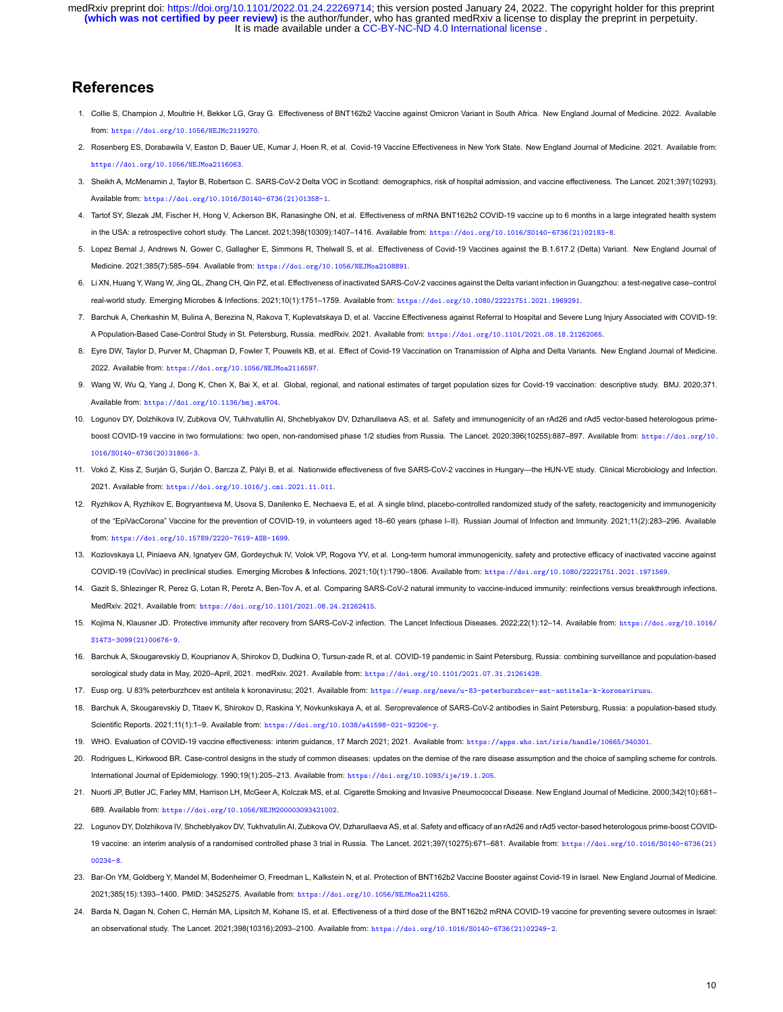It is made available under a [CC-BY-NC-ND 4.0 International license](http://creativecommons.org/licenses/by-nc-nd/4.0/) . **(which was not certified by peer review)** is the author/funder, who has granted medRxiv a license to display the preprint in perpetuity. medRxiv preprint doi: [https://doi.org/10.1101/2022.01.24.22269714;](https://doi.org/10.1101/2022.01.24.22269714) this version posted January 24, 2022. The copyright holder for this preprint

# **References**

- <span id="page-9-0"></span>1. Collie S, Champion J, Moultrie H, Bekker LG, Gray G. Effectiveness of BNT162b2 Vaccine against Omicron Variant in South Africa. New England Journal of Medicine. 2022. Available from: <https://doi.org/10.1056/NEJMc2119270>.
- 2. Rosenberg ES, Dorabawila V, Easton D, Bauer UE, Kumar J, Hoen R, et al. Covid19 Vaccine Effectiveness in New York State. New England Journal of Medicine. 2021. Available from: <https://doi.org/10.1056/NEJMoa2116063>.
- 3. Sheikh A, McMenamin J, Taylor B, Robertson C. SARSCoV2 Delta VOC in Scotland: demographics, risk of hospital admission, and vaccine effectiveness. The Lancet. 2021;397(10293). Available from: [https://doi.org/10.1016/S0140-6736\(21\)01358-1](https://doi.org/10.1016/S0140-6736(21)01358-1).
- 4. Tartof SY, Slezak JM, Fischer H, Hong V, Ackerson BK, Ranasinghe ON, et al. Effectiveness of mRNA BNT162b2 COVID-19 vaccine up to 6 months in a large integrated health system in the USA: a retrospective cohort study. The Lancet. 2021;398(10309):1407–1416. Available from: [https://doi.org/10.1016/S0140-6736\(21\)02183-8](https://doi.org/10.1016/S0140-6736(21)02183-8).
- <span id="page-9-16"></span>5. Lopez Bernal J, Andrews N, Gower C, Gallagher E, Simmons R, Thelwall S, et al. Effectiveness of Covid-19 Vaccines against the B.1.617.2 (Delta) Variant. New England Journal of Medicine. 2021;385(7):585–594. Available from: <https://doi.org/10.1056/NEJMoa2108891>.
- 6. Li XN, Huang Y, Wang W, Jing QL, Zhang CH, Qin PZ, et al. Effectiveness of inactivated SARS-CoV-2 vaccines against the Delta variant infection in Guangzhou: a test-negative case-control realworld study. Emerging Microbes & Infections. 2021;10(1):1751–1759. Available from: <https://doi.org/10.1080/22221751.2021.1969291>.
- <span id="page-9-1"></span>7. Barchuk A, Cherkashin M, Bulina A, Berezina N, Rakova T, Kuplevatskaya D, et al. Vaccine Effectiveness against Referral to Hospital and Severe Lung Injury Associated with COVID19: A Population-Based Case-Control Study in St. Petersburg, Russia. medRxiv. 2021. Available from: <https://doi.org/10.1101/2021.08.18.21262065>.
- <span id="page-9-2"></span>8. Eyre DW, Taylor D, Purver M, Chapman D, Fowler T, Pouwels KB, et al. Effect of Covid-19 Vaccination on Transmission of Alpha and Delta Variants. New England Journal of Medicine. 2022. Available from: <https://doi.org/10.1056/NEJMoa2116597>.
- <span id="page-9-3"></span>9. Wang W, Wu Q, Yang J, Dong K, Chen X, Bai X, et al. Global, regional, and national estimates of target population sizes for Covid-19 vaccination: descriptive study. BMJ, 2020:371. Available from: <https://doi.org/10.1136/bmj.m4704>.
- <span id="page-9-4"></span>10. Logunov DY, Dolzhikova IV, Zubkova OV, Tukhvatullin AI, Shcheblyakov DV, Dzharullaeva AS, et al. Safety and immunogenicity of an rAd26 and rAd5 vector-based heterologous primeboost COVID-19 vaccine in two formulations: two open, non-randomised phase 1/2 studies from Russia. The Lancet. 2020:396(10255):887-897. Available from: [https://doi.org/10.](https://doi.org/10.1016/S0140-6736(20)31866-3) [1016/S0140-6736\(20\)31866-3](https://doi.org/10.1016/S0140-6736(20)31866-3).
- <span id="page-9-5"></span>11. Vokó Z, Kiss Z, Surián G, Surián O, Barcza Z, Pályi B, et al. Nationwide effectiveness of five SARS-CoV-2 vaccines in Hungary—the HUN-VE study. Clinical Microbiology and Infection. 2021. Available from: <https://doi.org/10.1016/j.cmi.2021.11.011>.
- <span id="page-9-6"></span>12. Ryzhikov A, Ryzhikov E, Bogryantseva M, Usova S, Danilenko E, Nechaeva E, et al. A single blind, placebo-controlled randomized study of the safety, reactogenicity and immunogenicity of the "EpiVacCorona" Vaccine for the prevention of COVID19, in volunteers aged 18–60 years (phase I–II). Russian Journal of Infection and Immunity. 2021;11(2):283–296. Available from: <https://doi.org/10.15789/2220-7619-ASB-1699>.
- <span id="page-9-7"></span>13. Kozlovskaya LI, Piniaeva AN, Ignatyev GM, Gordeychuk IV, Volok VP, Rogova YV, et al. Long-term humoral immunogenicity, safety and protective efficacy of inactivated vaccine against COVID19 (CoviVac) in preclinical studies. Emerging Microbes & Infections. 2021;10(1):1790–1806. Available from: <https://doi.org/10.1080/22221751.2021.1971569>.
- <span id="page-9-8"></span>14. Gazit S, Shlezinger R, Perez G, Lotan R, Peretz A, Ben-Tov A, et al. Comparing SARS-CoV-2 natural immunity to vaccine-induced immunity: reinfections versus breakthrough infections. MedRxiv. 2021. Available from: <https://doi.org/10.1101/2021.08.24.21262415>.
- <span id="page-9-9"></span>15. Kojima N, Klausner JD. Protective immunity after recovery from SARS-CoV-2 infection. The Lancet Infectious Diseases. 2022;22(1):12-14. Available from: [https://doi.org/10.1016/](https://doi.org/10.1016/S1473-3099(21)00676-9) [S1473-3099\(21\)00676-9](https://doi.org/10.1016/S1473-3099(21)00676-9).
- <span id="page-9-10"></span>16. Barchuk A, Skougarevskiy D, Kouprianov A, Shirokov D, Dudkina O, Tursun-zade R, et al. COVID-19 pandemic in Saint Petersburg, Russia: combining surveillance and population-based serological study data in May, 2020–April, 2021. medRxiv. 2021. Available from: <https://doi.org/10.1101/2021.07.31.21261428>.
- <span id="page-9-12"></span><span id="page-9-11"></span>17. Eusp org. U 83% peterburzhcev est antitela k koronavirusu; 2021. Available from: <https://eusp.org/news/u-83-peterburzhcev-est-antitela-k-koronavirusu>.
- 18. Barchuk A, Skougarevskiy D, Titaev K, Shirokov D, Raskina Y, Novkunkskaya A, et al. Seroprevalence of SARS-CoV-2 antibodies in Saint Petersburg, Russia: a population-based study. Scientific Reports. 2021;11(1):1–9. Available from: <https://doi.org/10.1038/s41598-021-92206-y>.
- <span id="page-9-14"></span><span id="page-9-13"></span>19. WHO. Evaluation of COVID19 vaccine effectiveness: interim guidance, 17 March 2021; 2021. Available from: <https://apps.who.int/iris/handle/10665/340301>.
- 20. Rodrigues L, Kirkwood BR. Case-control designs in the study of common diseases: updates on the demise of the rare disease assumption and the choice of sampling scheme for controls. International Journal of Epidemiology. 1990;19(1):205–213. Available from: <https://doi.org/10.1093/ije/19.1.205>.
- <span id="page-9-15"></span>21. Nuorti JP, Butler JC, Farley MM, Harrison LH, McGeer A, Kolczak MS, et al. Cigarette Smoking and Invasive Pneumococcal Disease. New England Journal of Medicine. 2000;342(10):681– 689. Available from: <https://doi.org/10.1056/NEJM200003093421002>.
- <span id="page-9-17"></span>22. Logunov DY, Dolzhikova IV, Shcheblyakov DV, Tukhvatulin AI, Zubkova OV, Dzharullaeva AS, et al. Safety and efficacy of an rAd26 and rAd5 vector-based heterologous prime-boost COVID-19 vaccine: an interim analysis of a randomised controlled phase 3 trial in Russia. The Lancet. 2021;397(10275):671–681. Available from: [https://doi.org/10.1016/S0140-6736\(21\)](https://doi.org/10.1016/S0140-6736(21)00234-8) [00234-8](https://doi.org/10.1016/S0140-6736(21)00234-8).
- <span id="page-9-18"></span>23. Bar-On YM, Goldberg Y, Mandel M, Bodenheimer O, Freedman L, Kalkstein N, et al. Protection of BNT162b2 Vaccine Booster against Covid-19 in Israel. New England Journal of Medicine. 2021;385(15):1393–1400. PMID: 34525275. Available from: <https://doi.org/10.1056/NEJMoa2114255>.
- 24. Barda N, Dagan N, Cohen C, Hernán MA, Lipsitch M, Kohane IS, et al. Effectiveness of a third dose of the BNT162b2 mRNA COVID-19 vaccine for preventing severe outcomes in Israel: an observational study. The Lancet. 2021;398(10316):2093–2100. Available from: [https://doi.org/10.1016/S0140-6736\(21\)02249-2](https://doi.org/10.1016/S0140-6736(21)02249-2).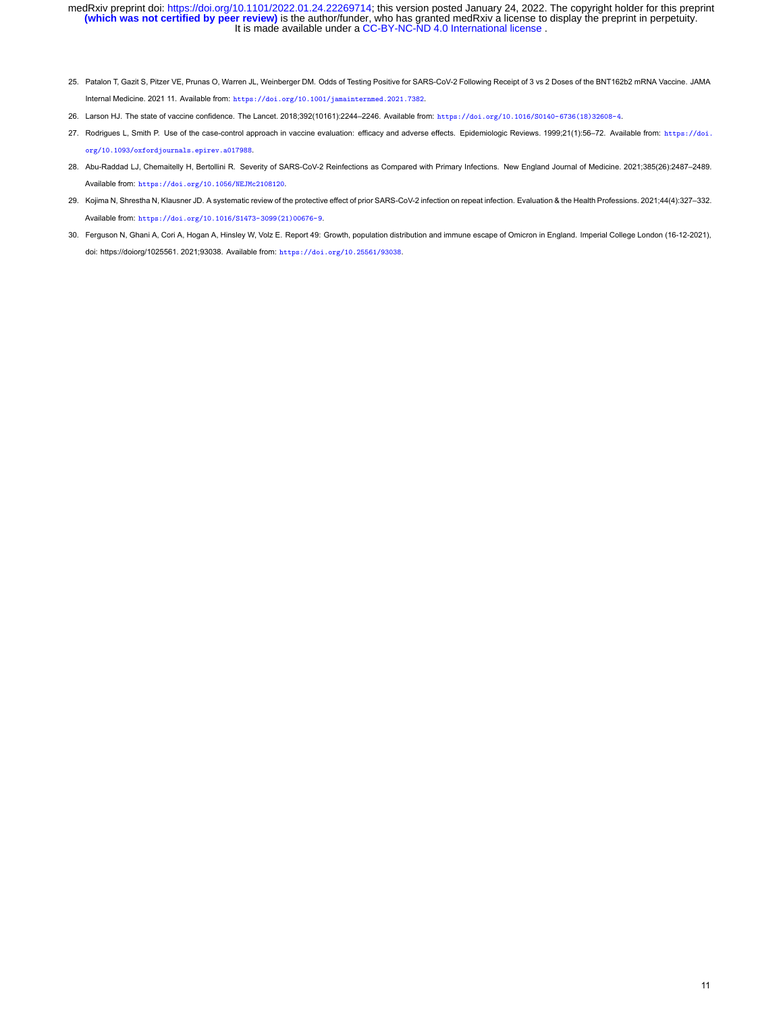- <span id="page-10-0"></span>25. Patalon T, Gazit S, Pitzer VE, Prunas O, Warren JL, Weinberger DM. Odds of Testing Positive for SARSCoV2 Following Receipt of 3 vs 2 Doses of the BNT162b2 mRNA Vaccine. JAMA Internal Medicine. 2021 11. Available from: <https://doi.org/10.1001/jamainternmed.2021.7382>.
- <span id="page-10-2"></span><span id="page-10-1"></span>26. Larson HJ. The state of vaccine confidence. The Lancet. 2018;392(10161):2244–2246. Available from: [https://doi.org/10.1016/S0140-6736\(18\)32608-4](https://doi.org/10.1016/S0140-6736(18)32608-4).
- 27. Rodrigues L, Smith P. Use of the case-control approach in vaccine evaluation: efficacy and adverse effects. Epidemiologic Reviews. 1999;21(1):56-72. Available from: [https://doi.](https://doi.org/10.1093/oxfordjournals.epirev.a017988) [org/10.1093/oxfordjournals.epirev.a017988](https://doi.org/10.1093/oxfordjournals.epirev.a017988).
- <span id="page-10-3"></span>28. Abu-Raddad LJ, Chemaitelly H, Bertollini R. Severity of SARS-CoV-2 Reinfections as Compared with Primary Infections. New England Journal of Medicine. 2021;385(26):2487-2489. Available from: <https://doi.org/10.1056/NEJMc2108120>.
- <span id="page-10-4"></span>29. Kojima N, Shrestha N, Klausner JD. A systematic review of the protective effect of prior SARSCoV2 infection on repeat infection. Evaluation & the Health Professions. 2021;44(4):327–332. Available from: [https://doi.org/10.1016/S1473-3099\(21\)00676-9](https://doi.org/10.1016/S1473-3099(21)00676-9).
- <span id="page-10-5"></span>30. Ferguson N, Ghani A, Cori A, Hogan A, Hinsley W, Volz E. Report 49: Growth, population distribution and immune escape of Omicron in England. Imperial College London (16-12-2021), doi: https://doiorg/1025561. 2021;93038. Available from: <https://doi.org/10.25561/93038>.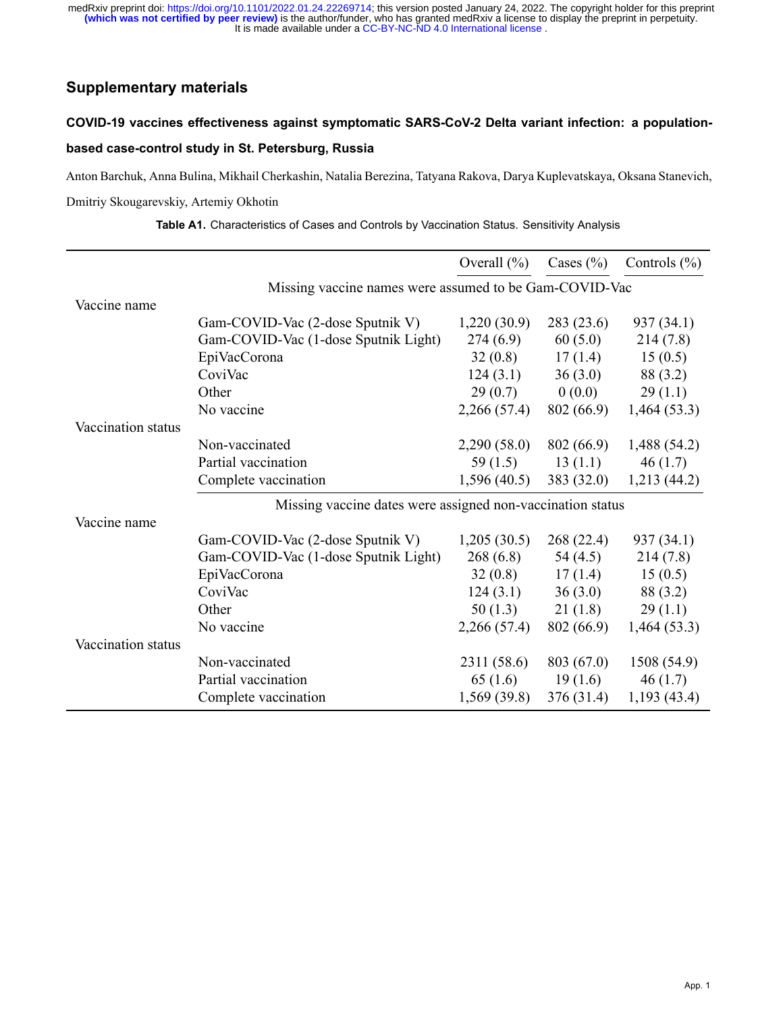# **Supplementary materials**

# COVID-19 vaccines effectiveness against symptomatic SARS-CoV-2 Delta variant infection: a populationbased case-control study in St. Petersburg, Russia

Anton Barchuk, Anna Bulina, Mikhail Cherkashin, Natalia Berezina, Tatyana Rakova, Darya Kuplevatskaya, Oksana Stanevich,

Dmitriy Skougarevskiy, Artemiy Okhotin

|                    |                                                            | Overall $(\% )$ | Cases $(\% )$ | Controls $(\% )$ |  |  |
|--------------------|------------------------------------------------------------|-----------------|---------------|------------------|--|--|
|                    | Missing vaccine names were assumed to be Gam-COVID-Vac     |                 |               |                  |  |  |
| Vaccine name       |                                                            |                 |               |                  |  |  |
|                    | Gam-COVID-Vac (2-dose Sputnik V)                           | 1,220(30.9)     | 283(23.6)     | 937 (34.1)       |  |  |
|                    | Gam-COVID-Vac (1-dose Sputnik Light)                       | 274(6.9)        | 60(5.0)       | 214(7.8)         |  |  |
|                    | EpiVacCorona                                               | 32(0.8)         | 17(1.4)       | 15(0.5)          |  |  |
|                    | CoviVac                                                    | 124(3.1)        | 36(3.0)       | 88 (3.2)         |  |  |
|                    | Other                                                      | 29(0.7)         | 0(0.0)        | 29(1.1)          |  |  |
|                    | No vaccine                                                 | 2,266(57.4)     | 802 (66.9)    | 1,464(53.3)      |  |  |
| Vaccination status |                                                            |                 |               |                  |  |  |
|                    | Non-vaccinated                                             | 2,290(58.0)     | 802 (66.9)    | 1,488(54.2)      |  |  |
|                    | Partial vaccination                                        | 59 $(1.5)$      | 13(1.1)       | 46(1.7)          |  |  |
|                    | Complete vaccination                                       | 1,596(40.5)     | 383(32.0)     | 1,213(44.2)      |  |  |
|                    | Missing vaccine dates were assigned non-vaccination status |                 |               |                  |  |  |
| Vaccine name       |                                                            |                 |               |                  |  |  |
|                    | Gam-COVID-Vac (2-dose Sputnik V)                           | 1,205(30.5)     | 268(22.4)     | 937 (34.1)       |  |  |
|                    | Gam-COVID-Vac (1-dose Sputnik Light)                       | 268(6.8)        | 54 (4.5)      | 214(7.8)         |  |  |
|                    | EpiVacCorona                                               | 32(0.8)         | 17(1.4)       | 15(0.5)          |  |  |
|                    | CoviVac                                                    | 124(3.1)        | 36(3.0)       | 88 (3.2)         |  |  |
|                    | Other                                                      | 50(1.3)         | 21(1.8)       | 29(1.1)          |  |  |
|                    | No vaccine                                                 | 2,266(57.4)     | 802 (66.9)    | 1,464(53.3)      |  |  |
| Vaccination status |                                                            |                 |               |                  |  |  |
|                    | Non-vaccinated                                             | 2311 (58.6)     | 803 (67.0)    | 1508(54.9)       |  |  |
|                    | Partial vaccination                                        | 65(1.6)         | 19(1.6)       | 46(1.7)          |  |  |
|                    | Complete vaccination                                       | 1,569 (39.8)    | 376 (31.4)    | 1,193(43.4)      |  |  |

**Table A1.** Characteristics of Cases and Controls by Vaccination Status. Sensitivity Analysis